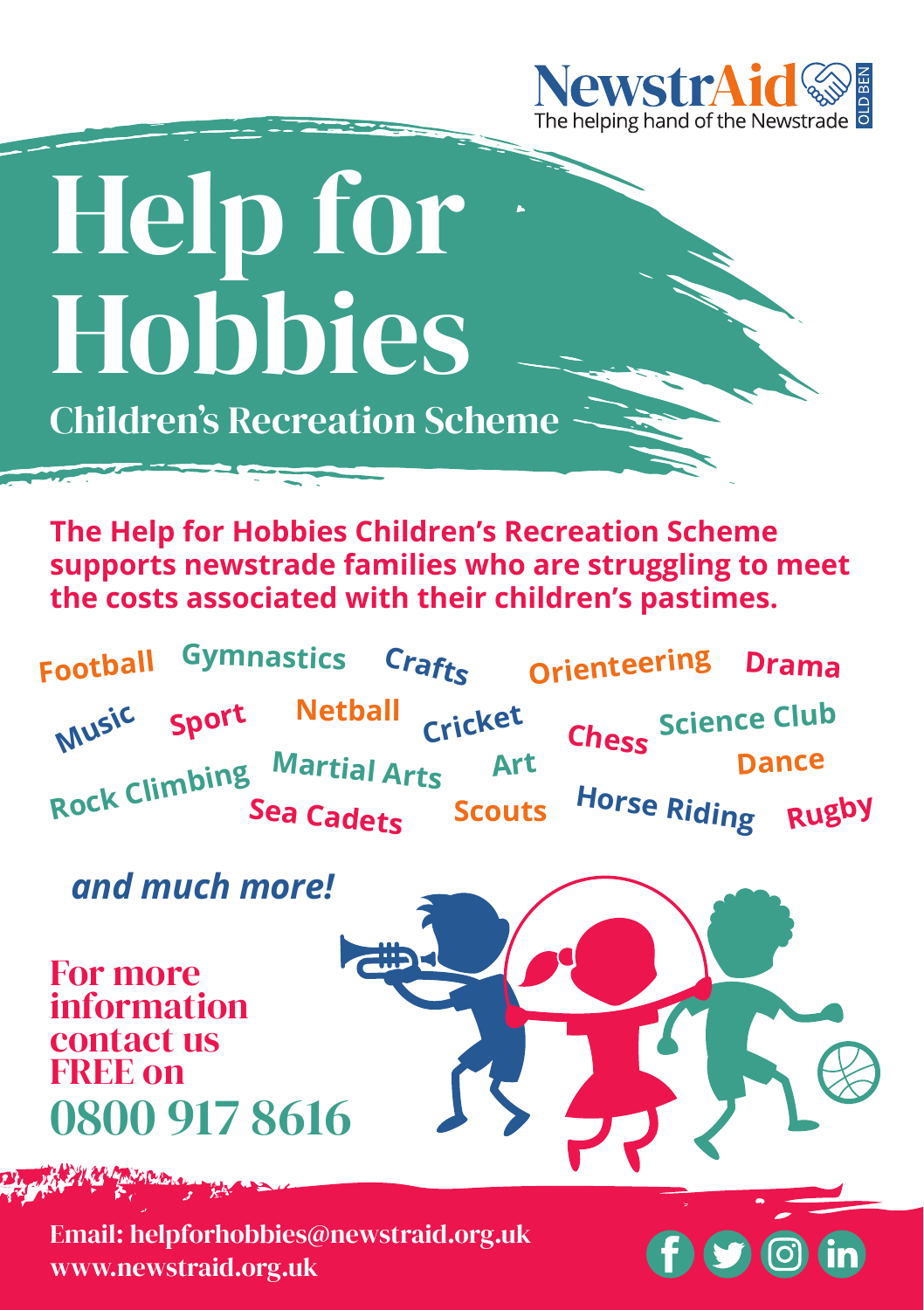

## Help for Hobbies

Children's Recreation Scheme

**The Help for Hobbies Children's Recreation Scheme supports newstrade families who are struggling to meet the costs associated with their children's pastimes.**

**Music Sport Cricket Rugby Horse Riding Martial Arts Art Football Crafts Drama Scouts Orienteering Chess Dance Science Club Rock Climbing Netball Sea Cadets Gymnastics**

## *and much more!*

For more information contact us FREE on 0800 917 8616

 $\odot$ 

Email: helpforhobbies@newstraid.org.uk www.newstraid.org.uk